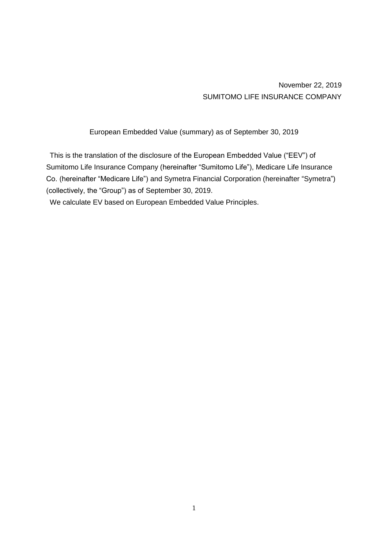November 22, 2019 SUMITOMO LIFE INSURANCE COMPANY

European Embedded Value (summary) as of September 30, 2019

This is the translation of the disclosure of the European Embedded Value ("EEV") of Sumitomo Life Insurance Company (hereinafter "Sumitomo Life"), Medicare Life Insurance Co. (hereinafter "Medicare Life") and Symetra Financial Corporation (hereinafter "Symetra") (collectively, the "Group") as of September 30, 2019.

We calculate EV based on European Embedded Value Principles.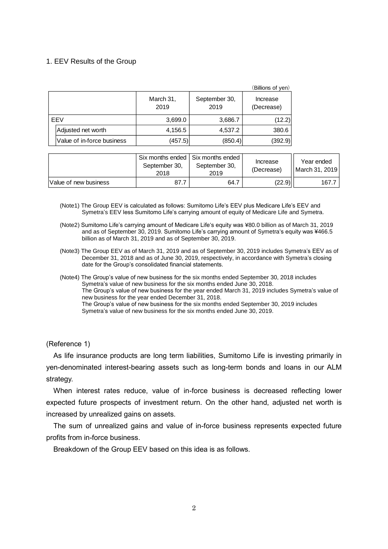## 1. EEV Results of the Group

|     |                            |                   |                       | (Billions of yen)      |
|-----|----------------------------|-------------------|-----------------------|------------------------|
|     |                            | March 31,<br>2019 | September 30,<br>2019 | Increase<br>(Decrease) |
| EEV |                            | 3,699.0           | 3,686.7               | (12.2)                 |
|     | Adjusted net worth         | 4,156.5           | 4,537.2               | 380.6                  |
|     | Value of in-force business | (457.5)           | (850.4)               | (392.9)                |

|                       | September 30.<br>2018 | Six months ended Six months ended<br>September 30,<br>2019 | Increase<br>(Decrease) | Year ended<br>   March 31, 2019 |
|-----------------------|-----------------------|------------------------------------------------------------|------------------------|---------------------------------|
| Value of new business | 87.7                  | 64.7                                                       | (22.9)                 | 167.                            |

- (Note1) The Group EEV is calculated as follows: Sumitomo Life's EEV plus Medicare Life's EEV and Symetra's EEV less Sumitomo Life's carrying amount of equity of Medicare Life and Symetra.
- (Note2) Sumitomo Life's carrying amount of Medicare Life's equity was ¥80.0 billion as of March 31, 2019 and as of September 30, 2019. Sumitomo Life's carrying amount of Symetra's equity was ¥466.5 billion as of March 31, 2019 and as of September 30, 2019.
- (Note3) The Group EEV as of March 31, 2019 and as of September 30, 2019 includes Symetra's EEV as of December 31, 2018 and as of June 30, 2019, respectively, in accordance with Symetra's closing date for the Group's consolidated financial statements.
- (Note4) The Group's value of new business for the six months ended September 30, 2018 includes Symetra's value of new business for the six months ended June 30, 2018. The Group's value of new business for the year ended March 31, 2019 includes Symetra's value of new business for the year ended December 31, 2018. The Group's value of new business for the six months ended September 30, 2019 includes Symetra's value of new business for the six months ended June 30, 2019.

(Reference 1)

As life insurance products are long term liabilities, Sumitomo Life is investing primarily in yen-denominated interest-bearing assets such as long-term bonds and loans in our ALM strategy.

When interest rates reduce, value of in-force business is decreased reflecting lower expected future prospects of investment return. On the other hand, adjusted net worth is increased by unrealized gains on assets.

The sum of unrealized gains and value of in-force business represents expected future profits from in-force business.

Breakdown of the Group EEV based on this idea is as follows.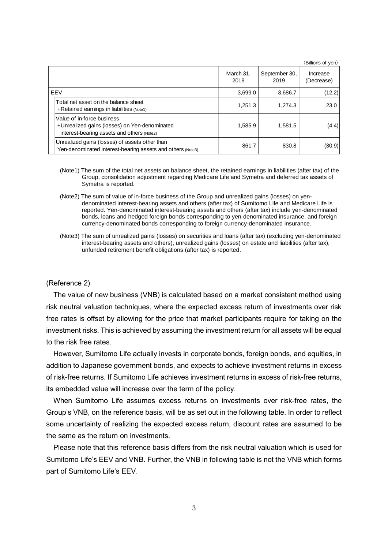|            |                                                                                                                           |                   |                       | (Billions of yen)      |
|------------|---------------------------------------------------------------------------------------------------------------------------|-------------------|-----------------------|------------------------|
|            |                                                                                                                           | March 31,<br>2019 | September 30,<br>2019 | Increase<br>(Decrease) |
| <b>FFV</b> |                                                                                                                           | 3,699.0           | 3.686.7               | (12.2)                 |
|            | Total net asset on the balance sheet<br>+Retained earnings in liabilities (Note1)                                         | 1,251.3           | 1.274.3               | 23.0                   |
|            | Value of in-force business<br>+Unrealized gains (losses) on Yen-denominated<br>interest-bearing assets and others (Note2) | 1,585.9           | 1,581.5               | (4.4)                  |
|            | Unrealized gains (losses) of assets other than<br>Yen-denominated interest-bearing assets and others (Note3)              | 861.7             | 830.8                 | (30.9)                 |

- (Note1) The sum of the total net assets on balance sheet, the retained earnings in liabilities (after tax) of the Group, consolidation adjustment regarding Medicare Life and Symetra and deferred tax assets of Symetra is reported.
- (Note2) The sum of value of in-force business of the Group and unrealized gains (losses) on yendenominated interest-bearing assets and others (after tax) of Sumitomo Life and Medicare Life is reported. Yen-denominated interest-bearing assets and others (after tax) include yen-denominated bonds, loans and hedged foreign bonds corresponding to yen-denominated insurance, and foreign currency-denominated bonds corresponding to foreign currency-denominated insurance.
- (Note3) The sum of unrealized gains (losses) on securities and loans (after tax) (excluding yen-denominated interest-bearing assets and others), unrealized gains (losses) on estate and liabilities (after tax), unfunded retirement benefit obligations (after tax) is reported.

#### (Reference 2)

The value of new business (VNB) is calculated based on a market consistent method using risk neutral valuation techniques, where the expected excess return of investments over risk free rates is offset by allowing for the price that market participants require for taking on the investment risks. This is achieved by assuming the investment return for all assets will be equal to the risk free rates.

However, Sumitomo Life actually invests in corporate bonds, foreign bonds, and equities, in addition to Japanese government bonds, and expects to achieve investment returns in excess of risk-free returns. If Sumitomo Life achieves investment returns in excess of risk-free returns, its embedded value will increase over the term of the policy.

When Sumitomo Life assumes excess returns on investments over risk-free rates, the Group's VNB, on the reference basis, will be as set out in the following table. In order to reflect some uncertainty of realizing the expected excess return, discount rates are assumed to be the same as the return on investments.

Please note that this reference basis differs from the risk neutral valuation which is used for Sumitomo Life's EEV and VNB. Further, the VNB in following table is not the VNB which forms part of Sumitomo Life's EEV.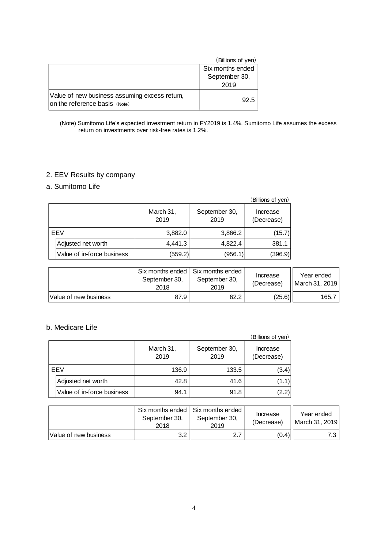|                                                                                | (Billions of yen) |
|--------------------------------------------------------------------------------|-------------------|
|                                                                                | Six months ended  |
|                                                                                | September 30,     |
|                                                                                | 2019              |
| Value of new business assuming excess return,<br>on the reference basis (Note) | 92.5              |

#### (Note) Sumitomo Life's expected investment return in FY2019 is 1.4%. Sumitomo Life assumes the excess return on investments over risk-free rates is 1.2%.

# 2. EEV Results by company

# a. Sumitomo Life

|     |                            |                   |                       | (Billions of yen)      |
|-----|----------------------------|-------------------|-----------------------|------------------------|
|     |                            | March 31,<br>2019 | September 30,<br>2019 | Increase<br>(Decrease) |
| EEV |                            | 3,882.0           | 3,866.2               | (15.7)                 |
|     | Adjusted net worth         | 4,441.3           | 4,822.4               | 381.1                  |
|     | Value of in-force business | (559.2)           | (956.1)               | (396.9)                |

|                       | September 30,<br>2018 | Six months ended   Six months ended<br>September 30,<br>2019 | Increase<br>(Decrease) | Year ended<br>March 31, 2019 |
|-----------------------|-----------------------|--------------------------------------------------------------|------------------------|------------------------------|
| Value of new business | 87.9                  | 62.2                                                         | (25.6)                 | 165.7                        |

# b. Medicare Life

|     |                            |                   |                       | (Billions of yen)      |
|-----|----------------------------|-------------------|-----------------------|------------------------|
|     |                            | March 31,<br>2019 | September 30,<br>2019 | Increase<br>(Decrease) |
| EEV |                            | 136.9             | 133.5                 | (3.4)                  |
|     | Adjusted net worth         | 42.8              | 41.6                  | (1.1)                  |
|     | Value of in-force business | 94.1              | 91.8                  | (2.2)                  |

|                        | September 30.<br>2018 | Six months ended I Six months ended<br>September 30,<br>2019 | Increase<br>(Decrease) | Year ended<br>March 31, 2019 |
|------------------------|-----------------------|--------------------------------------------------------------|------------------------|------------------------------|
| lValue of new business | 3.2                   |                                                              | (0.4)                  | 791                          |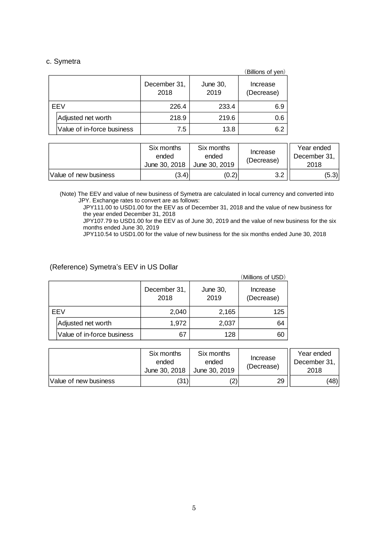### c. Symetra

|     |                            |                      |                  | (Billions of yen)      |
|-----|----------------------------|----------------------|------------------|------------------------|
|     |                            | December 31,<br>2018 | June 30,<br>2019 | Increase<br>(Decrease) |
| EEV |                            | 226.4                | 233.4            | 6.9                    |
|     | Adjusted net worth         | 218.9                | 219.6            | 0.6                    |
|     | Value of in-force business | 7.5                  | 13.8             | 6.2                    |

|                       | Six months<br>ended<br>June 30, 2018 | Six months<br>ended<br>June 30, 2019 | Increase<br>(Decrease) | Year ended<br>December 31,<br>2018 |
|-----------------------|--------------------------------------|--------------------------------------|------------------------|------------------------------------|
| Value of new business | (3.4)                                | (0.2)                                | າ າ                    | (5.3)                              |

(Note) The EEV and value of new business of Symetra are calculated in local currency and converted into JPY. Exchange rates to convert are as follows:

JPY111.00 to USD1.00 for the EEV as of December 31, 2018 and the value of new business for the year ended December 31, 2018

JPY107.79 to USD1.00 for the EEV as of June 30, 2019 and the value of new business for the six months ended June 30, 2019

JPY110.54 to USD1.00 for the value of new business for the six months ended June 30, 2018

## (Reference) Symetra's EEV in US Dollar

|     |                            |                      |                  | (Millions of USD)      |
|-----|----------------------------|----------------------|------------------|------------------------|
|     |                            | December 31,<br>2018 | June 30,<br>2019 | Increase<br>(Decrease) |
| EEV |                            | 2,040                | 2,165            | 125                    |
|     | Adjusted net worth         | 1,972                | 2,037            | 64                     |
|     | Value of in-force business | 67                   | 128              | 60                     |

|                        | Six months<br>ended<br>June 30, 2018 | Six months<br>ended<br>June 30, 2019 | Increase<br>(Decrease) | Year ended<br>December 31,<br>2018 |
|------------------------|--------------------------------------|--------------------------------------|------------------------|------------------------------------|
| lValue of new business | (31)                                 | 2)                                   | 29                     | (48)                               |